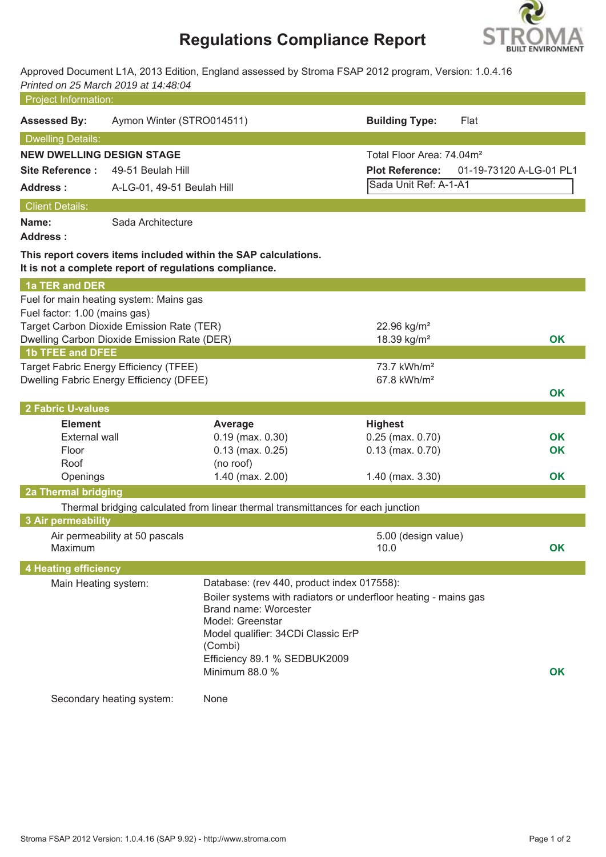# **Regulations Compliance Report**



Approved Document L1A, 2013 Edition, England assessed by Stroma FSAP 2012 program, Version: 1.0.4.16 *Printed on 25 March 2019 at 14:48:04*

| Project Information:                   |                                                        |                                                                                                                                                                                            |                                                                 |                         |
|----------------------------------------|--------------------------------------------------------|--------------------------------------------------------------------------------------------------------------------------------------------------------------------------------------------|-----------------------------------------------------------------|-------------------------|
| <b>Assessed By:</b>                    | Aymon Winter (STRO014511)                              |                                                                                                                                                                                            | <b>Building Type:</b>                                           | Flat                    |
| <b>Dwelling Details:</b>               |                                                        |                                                                                                                                                                                            |                                                                 |                         |
| <b>NEW DWELLING DESIGN STAGE</b>       |                                                        |                                                                                                                                                                                            | Total Floor Area: 74.04m <sup>2</sup>                           |                         |
| <b>Site Reference:</b>                 | 49-51 Beulah Hill                                      |                                                                                                                                                                                            | <b>Plot Reference:</b>                                          | 01-19-73120 A-LG-01 PL1 |
| <b>Address:</b>                        | A-LG-01, 49-51 Beulah Hill                             |                                                                                                                                                                                            | Sada Unit Ref: A-1-A1                                           |                         |
| <b>Client Details:</b>                 |                                                        |                                                                                                                                                                                            |                                                                 |                         |
| Name:<br><b>Address:</b>               | Sada Architecture                                      |                                                                                                                                                                                            |                                                                 |                         |
|                                        | It is not a complete report of regulations compliance. | This report covers items included within the SAP calculations.                                                                                                                             |                                                                 |                         |
| 1a TER and DER                         |                                                        |                                                                                                                                                                                            |                                                                 |                         |
|                                        | Fuel for main heating system: Mains gas                |                                                                                                                                                                                            |                                                                 |                         |
| Fuel factor: 1.00 (mains gas)          | Target Carbon Dioxide Emission Rate (TER)              |                                                                                                                                                                                            | 22.96 kg/m <sup>2</sup>                                         |                         |
|                                        | Dwelling Carbon Dioxide Emission Rate (DER)            |                                                                                                                                                                                            | 18.39 kg/m <sup>2</sup>                                         | <b>OK</b>               |
| <b>1b TFEE and DFEE</b>                |                                                        |                                                                                                                                                                                            |                                                                 |                         |
|                                        | Target Fabric Energy Efficiency (TFEE)                 |                                                                                                                                                                                            | 73.7 kWh/m <sup>2</sup>                                         |                         |
|                                        | Dwelling Fabric Energy Efficiency (DFEE)               |                                                                                                                                                                                            | 67.8 kWh/m <sup>2</sup>                                         |                         |
|                                        |                                                        |                                                                                                                                                                                            |                                                                 | OK                      |
| 2 Fabric U-values                      |                                                        |                                                                                                                                                                                            |                                                                 |                         |
| <b>Element</b><br><b>External wall</b> |                                                        | Average<br>$0.19$ (max. $0.30$ )                                                                                                                                                           | <b>Highest</b><br>$0.25$ (max. $0.70$ )                         | OK                      |
| Floor                                  |                                                        | $0.13$ (max. $0.25$ )                                                                                                                                                                      | $0.13$ (max. $0.70$ )                                           | OK                      |
| Roof                                   |                                                        | (no roof)                                                                                                                                                                                  |                                                                 |                         |
| Openings                               |                                                        | 1.40 (max. 2.00)                                                                                                                                                                           | 1.40 (max. 3.30)                                                | OK                      |
| 2a Thermal bridging                    |                                                        |                                                                                                                                                                                            |                                                                 |                         |
|                                        |                                                        | Thermal bridging calculated from linear thermal transmittances for each junction                                                                                                           |                                                                 |                         |
| 3 Air permeability                     |                                                        |                                                                                                                                                                                            |                                                                 |                         |
| Maximum                                | Air permeability at 50 pascals                         |                                                                                                                                                                                            | 5.00 (design value)<br>10.0                                     | OK                      |
| <b>4 Heating efficiency</b>            |                                                        |                                                                                                                                                                                            |                                                                 |                         |
| Main Heating system:                   |                                                        | Database: (rev 440, product index 017558):<br>Brand name: Worcester<br>Model: Greenstar<br>Model qualifier: 34CDi Classic ErP<br>(Combi)<br>Efficiency 89.1 % SEDBUK2009<br>Minimum 88.0 % | Boiler systems with radiators or underfloor heating - mains gas | <b>OK</b>               |
|                                        | Secondary heating system:                              | None                                                                                                                                                                                       |                                                                 |                         |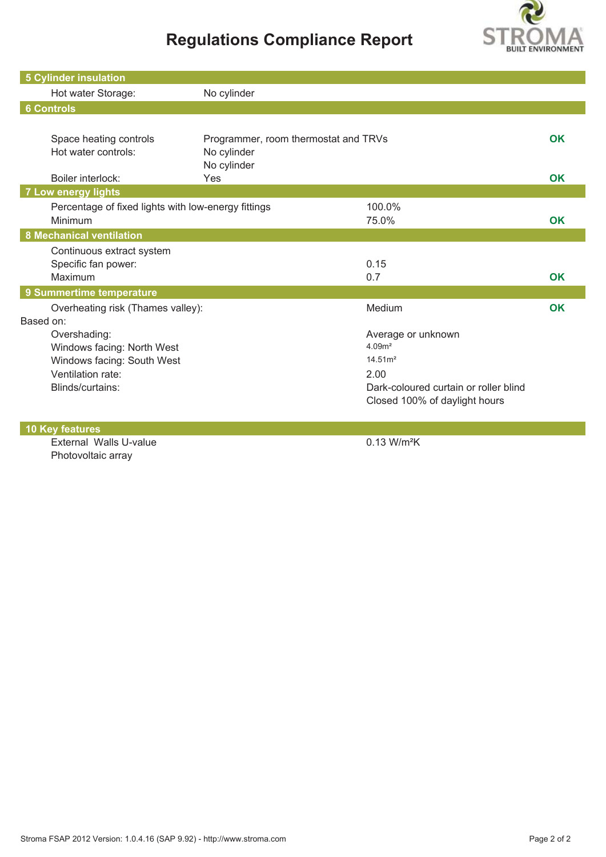## **Regulations Compliance Report**



| <b>5 Cylinder insulation</b>                        |                                      |                                       |           |
|-----------------------------------------------------|--------------------------------------|---------------------------------------|-----------|
| Hot water Storage:                                  | No cylinder                          |                                       |           |
| <b>6 Controls</b>                                   |                                      |                                       |           |
|                                                     |                                      |                                       |           |
| Space heating controls                              | Programmer, room thermostat and TRVs |                                       | OK        |
| Hot water controls:                                 | No cylinder                          |                                       |           |
|                                                     | No cylinder                          |                                       |           |
| Boiler interlock:                                   | Yes                                  |                                       | <b>OK</b> |
| <b>7 Low energy lights</b>                          |                                      |                                       |           |
| Percentage of fixed lights with low-energy fittings |                                      | 100.0%                                |           |
| Minimum                                             |                                      | 75.0%                                 | <b>OK</b> |
| <b>8 Mechanical ventilation</b>                     |                                      |                                       |           |
| Continuous extract system                           |                                      |                                       |           |
| Specific fan power:                                 |                                      | 0.15                                  |           |
| Maximum                                             |                                      | 0.7                                   | OK        |
| 9 Summertime temperature                            |                                      |                                       |           |
| Overheating risk (Thames valley):                   |                                      | Medium                                | OK        |
| Based on:                                           |                                      |                                       |           |
| Overshading:                                        |                                      | Average or unknown                    |           |
| Windows facing: North West                          |                                      | 4.09 <sup>m²</sup>                    |           |
| Windows facing: South West                          |                                      | 14.51 <sup>2</sup>                    |           |
| Ventilation rate:                                   |                                      | 2.00                                  |           |
| Blinds/curtains:                                    |                                      | Dark-coloured curtain or roller blind |           |
|                                                     |                                      | Closed 100% of daylight hours         |           |
|                                                     |                                      |                                       |           |

**10 Key features**

External Walls U-value 0.13 W/m<sup>2</sup>K Photovoltaic array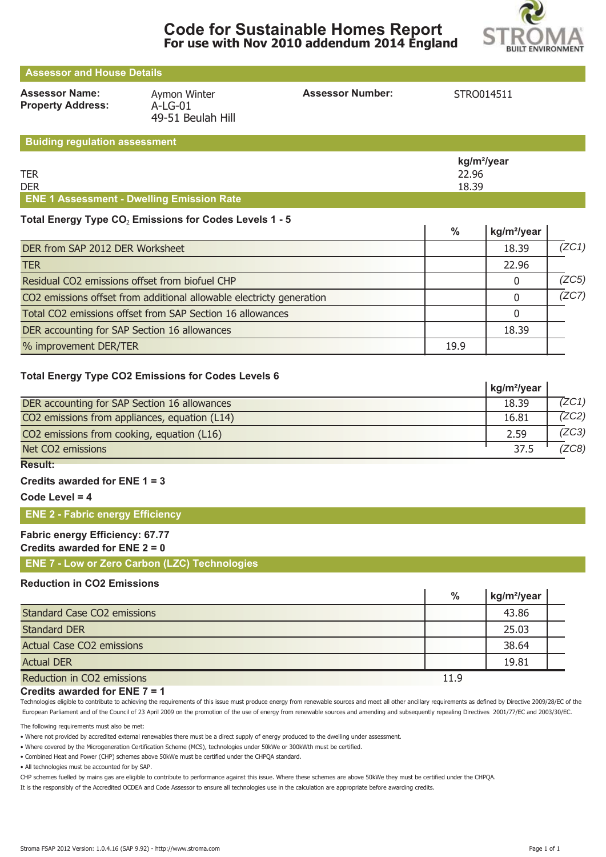



 $\overline{1}$ 

## **Assessor and House Details**

**Property Address:** A-LG-01

**Assessor Name:** Aymon Winter **Assessor Number:** STRO014511 49-51 Beulah Hill

#### **Buiding regulation assessment**

|                                                  | kg/m²/year |
|--------------------------------------------------|------------|
| <b>TER</b>                                       | 22.96      |
| <b>DER</b>                                       | 18.39      |
| <b>ENE 1 Assessment - Dwelling Emission Rate</b> |            |

#### Total Energy Type CO<sub>2</sub> Emissions for Codes Levels 1 - 5

|                                                                      | %    | kg/m <sup>2</sup> /year |       |
|----------------------------------------------------------------------|------|-------------------------|-------|
| DER from SAP 2012 DER Worksheet                                      |      | 18.39                   | (ZC1) |
| <b>TER</b>                                                           |      | 22.96                   |       |
| Residual CO2 emissions offset from biofuel CHP                       |      |                         | (ZC5) |
| CO2 emissions offset from additional allowable electricty generation |      |                         | (ZC7) |
| Total CO2 emissions offset from SAP Section 16 allowances            |      |                         |       |
| DER accounting for SAP Section 16 allowances                         |      | 18.39                   |       |
| % improvement DER/TER                                                | 19.9 |                         |       |

#### **Total Energy Type CO2 Emissions for Codes Levels 6**

|                                               | kg/m <sup>2</sup> /year |       |
|-----------------------------------------------|-------------------------|-------|
| DER accounting for SAP Section 16 allowances  | 18.39                   | (ZC1) |
| CO2 emissions from appliances, equation (L14) | 16.81                   | 7ZC2) |
| CO2 emissions from cooking, equation (L16)    | 2.59                    | (ZC3) |
| Net CO2 emissions                             | 37.5                    | ZC8)  |

### **Result:**

#### **Credits awarded for ENE 1 = 3**

**Code Level = 4**

#### **ENE 2 - Fabric energy Efficiency**

### **Fabric energy Efficiency: 67.77**

#### **Credits awarded for ENE 2 = 0**

**ENE 7 - Low or Zero Carbon (LZC) Technologies**

#### **Reduction in CO2 Emissions**

|                                    | $\%$ | kg/m <sup>2</sup> /year |  |
|------------------------------------|------|-------------------------|--|
| <b>Standard Case CO2 emissions</b> |      | 43.86                   |  |
| <b>Standard DER</b>                |      | 25.03                   |  |
| <b>Actual Case CO2 emissions</b>   |      | 38.64                   |  |
| <b>Actual DER</b>                  |      | 19.81                   |  |
| Reduction in CO2 emissions         | 11.9 |                         |  |

#### **Credits awarded for ENE 7 = 1**

Technologies eligible to contribute to achieving the requirements of this issue must produce energy from renewable sources and meet all other ancillary requirements as defined by Directive 2009/28/EC of the European Parliament and of the Council of 23 April 2009 on the promotion of the use of energy from renewable sources and amending and subsequently repealing Directives 2001/77/EC and 2003/30/EC.

The following requirements must also be met:

• Where not provided by accredited external renewables there must be a direct supply of energy produced to the dwelling under assessment.

• Where covered by the Microgeneration Certification Scheme (MCS), technologies under 50kWe or 300kWth must be certified.

• Combined Heat and Power (CHP) schemes above 50kWe must be certified under the CHPQA standard.

• All technologies must be accounted for by SAP.

CHP schemes fuelled by mains gas are eligible to contribute to performance against this issue. Where these schemes are above 50kWe they must be certified under the CHPQA.

It is the responsibly of the Accredited OCDEA and Code Assessor to ensure all technologies use in the calculation are appropriate before awarding credits.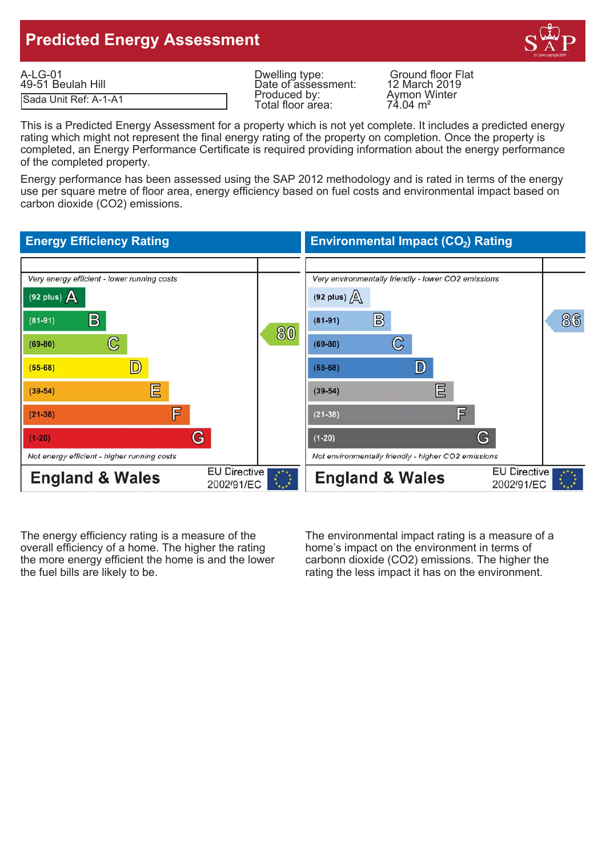## **Predicted Energy Assessment**



| $A-LG-01$             | Dwelling type:      | <b>Ground floor Flat</b>             |
|-----------------------|---------------------|--------------------------------------|
| 49-51 Beulah Hill     | Date of assessment: | 12 March 2019                        |
| Sada Unit Ref: A-1-A1 | Produced by:        | Aymon Winter                         |
|                       | Total floor area:   | $7\lambda$ $0\lambda$ m <sup>2</sup> |

Produced by: Aymon Winter<br>Total floor area: 74.04 m<sup>2</sup> Total floor area:

This is a Predicted Energy Assessment for a property which is not yet complete. It includes a predicted energy rating which might not represent the final energy rating of the property on completion. Once the property is completed, an Energy Performance Certificate is required providing information about the energy performance of the completed property.

Energy performance has been assessed using the SAP 2012 methodology and is rated in terms of the energy use per square metre of floor area, energy efficiency based on fuel costs and environmental impact based on carbon dioxide (CO2) emissions.

#### **Energy Efficiency Rating Environmental Impact (CO<sub>2</sub>) Rating** Very energy efficient - lower running costs Very environmentally friendly - lower CO2 emissions (92 plus)  $\Delta$ (92 plus)  $\sqrt{\Delta}$  $\mathbf{B}$  $\mathbb{B}$ 86  $(81 - 91)$  $(81-91)$ 80  $\mathbb{C}$  $\mathbb{C}$  $(69-80)$  $(69-80)$ D) D  $(55-68)$  $(55-68)$ 巨 巨  $(39-54)$  $(39-54)$ F 肎  $(21 - 38)$  $(21 - 38)$ G G  $(1-20)$  $(1-20)$ Not energy efficient - higher running costs Not environmentally friendly - higher CO2 emissions **EU Directive EU Directive England & Wales England & Wales** 2002/91/EC 2002/91/EC

The energy efficiency rating is a measure of the The environmental impact rating is a measure of a overall efficiency of a home. The higher the rating home's impact on the environment in terms of the more energy efficient the home is and the lower carbonn dioxide (CO2) emissions. The higher the the fuel bills are likely to be. The rating the less impact it has on the environment.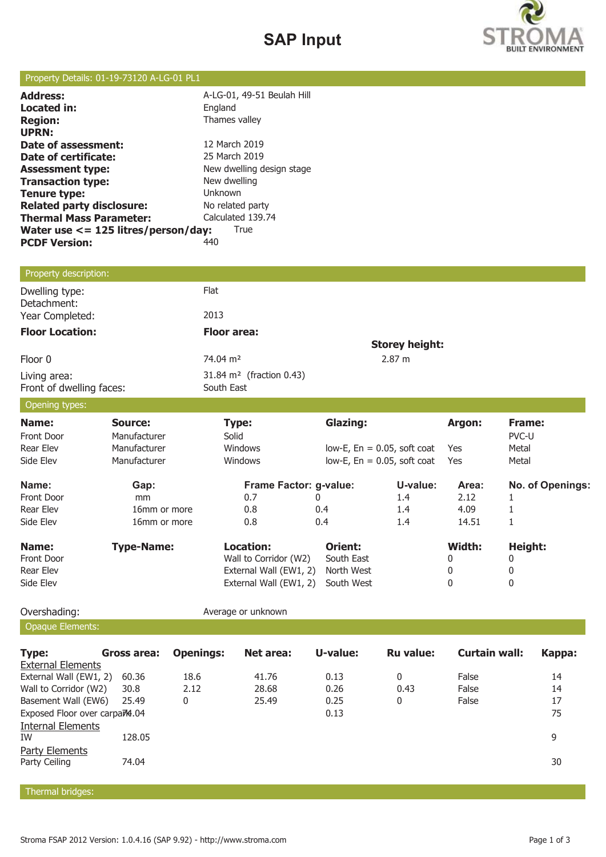## **SAP Input**



#### Property Details: 01-19-73120 A-LG-01 PL1

| A-LG-01, 49-51 Beulah Hill<br>England       |  |  |
|---------------------------------------------|--|--|
| Thames valley                               |  |  |
|                                             |  |  |
| 12 March 2019                               |  |  |
| 25 March 2019                               |  |  |
| New dwelling design stage                   |  |  |
| New dwelling                                |  |  |
| Unknown                                     |  |  |
| No related party                            |  |  |
| Calculated 139.74                           |  |  |
| Water use <= 125 litres/person/day:<br>True |  |  |
| 440                                         |  |  |
|                                             |  |  |

## Property description:

| Dwelling type:<br>Detachment:            | Flat                                               |                       |
|------------------------------------------|----------------------------------------------------|-----------------------|
| Year Completed:                          | 2013                                               |                       |
| <b>Floor Location:</b>                   | <b>Floor area:</b>                                 |                       |
|                                          |                                                    | <b>Storey height:</b> |
| Floor 0                                  | 74.04 m <sup>2</sup>                               | 2.87 m                |
| Living area:<br>Front of dwelling faces: | 31.84 m <sup>2</sup> (fraction 0.43)<br>South East |                       |

#### Opening types:

| $\sim$ p with $\sim$ p $\sim$ p $\sim$ |                   |                        |                                   |               |        |                  |
|----------------------------------------|-------------------|------------------------|-----------------------------------|---------------|--------|------------------|
| Name:                                  | Source:           | <b>Type:</b>           | <b>Glazing:</b>                   |               | Argon: | Frame:           |
| Front Door                             | Manufacturer      | Solid                  |                                   |               |        | PVC-U            |
| Rear Elev                              | Manufacturer      | <b>Windows</b>         | $low-E$ , $En = 0.05$ , soft coat |               | Yes    | Metal            |
| Side Elev                              | Manufacturer      | <b>Windows</b>         | $low-E$ , $En = 0.05$ , soft coat |               | Yes    | Metal            |
| Name:                                  | Gap:              | Frame Factor: g-value: |                                   | U-value:      | Area:  | No. of Openings: |
| <b>Front Door</b>                      | <sub>mm</sub>     | 0.7                    |                                   | $1.4^{\circ}$ | 2.12   |                  |
| Rear Elev                              | 16mm or more      | 0.8                    | 0.4                               | $1.4\,$       | 4.09   |                  |
| Side Elev                              | 16mm or more      | 0.8                    | 0.4                               | 1.4           | 14.51  | T                |
| Name:                                  | <b>Type-Name:</b> | Location:              | Orient:                           |               | Width: | Height:          |
| <b>Front Door</b>                      |                   | Wall to Corridor (W2)  | South East                        |               | 0      | 0                |
| Rear Elev                              |                   | External Wall (EW1, 2) | North West                        |               | 0      | 0                |
| Side Elev                              |                   | External Wall (EW1, 2) | South West                        |               | 0      | 0                |

Opaque Elements:

Overshading: **Average or unknown** 

| <b>Type:</b>                              | Gross area: | <b>Openings:</b> | Net area: | U-value: | <b>Ru</b> value: | Curtain wall: | Kappa: |
|-------------------------------------------|-------------|------------------|-----------|----------|------------------|---------------|--------|
| <b>External Elements</b>                  |             |                  |           |          |                  |               |        |
| External Wall (EW1, 2)                    | 60.36       | 18.6             | 41.76     | 0.13     | 0                | False         | 14     |
| Wall to Corridor (W2)                     | 30.8        | 2.12             | 28.68     | 0.26     | 0.43             | False         | 14     |
| Basement Wall (EW6)                       | 25.49       | 0                | 25.49     | 0.25     | 0                | False         | 17     |
| Exposed Floor over carpa <sub>74.04</sub> |             |                  |           | 0.13     |                  |               | 75     |
| <b>Internal Elements</b>                  |             |                  |           |          |                  |               |        |
| IW                                        | 128.05      |                  |           |          |                  |               | 9      |
| Party Elements                            |             |                  |           |          |                  |               |        |
| Party Ceiling                             | 74.04       |                  |           |          |                  |               | 30     |
|                                           |             |                  |           |          |                  |               |        |

Thermal bridges: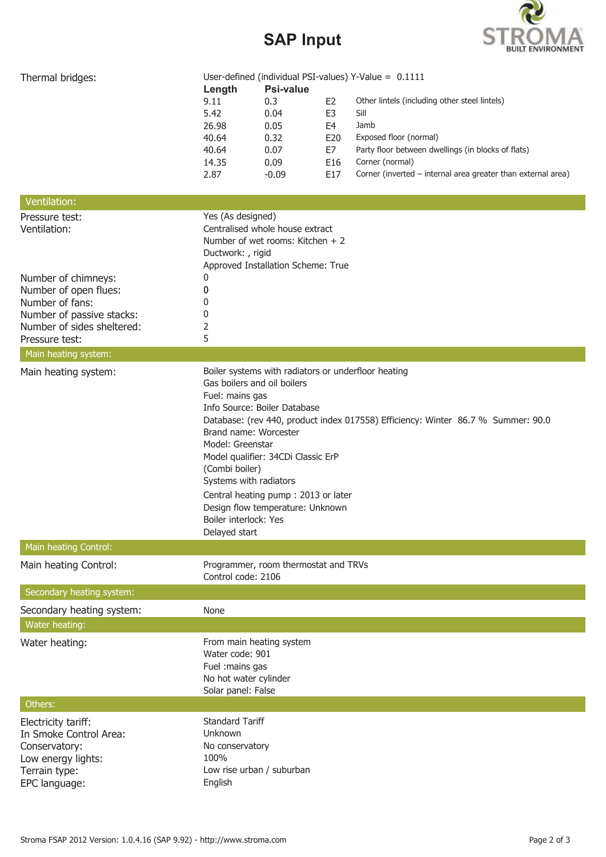# **SAP Input**



| Thermal bridges:           | User-defined (individual PSI-values) Y-Value = $0.1111$ |                                                     |                |                                                                                  |  |  |  |
|----------------------------|---------------------------------------------------------|-----------------------------------------------------|----------------|----------------------------------------------------------------------------------|--|--|--|
|                            | Length<br>9.11                                          | <b>Psi-value</b><br>0.3                             | E2             | Other lintels (including other steel lintels)                                    |  |  |  |
|                            | 5.42                                                    | 0.04                                                | E <sub>3</sub> | Sill                                                                             |  |  |  |
|                            | 26.98                                                   | 0.05                                                | E4             | Jamb                                                                             |  |  |  |
|                            | 40.64                                                   | 0.32                                                | E20            | Exposed floor (normal)                                                           |  |  |  |
|                            | 40.64                                                   | 0.07                                                | E7             | Party floor between dwellings (in blocks of flats)                               |  |  |  |
|                            | 14.35                                                   | 0.09                                                | E16            | Corner (normal)                                                                  |  |  |  |
|                            | 2.87                                                    | $-0.09$                                             | E17            | Corner (inverted - internal area greater than external area)                     |  |  |  |
| Ventilation:               |                                                         |                                                     |                |                                                                                  |  |  |  |
| Pressure test:             | Yes (As designed)                                       |                                                     |                |                                                                                  |  |  |  |
| Ventilation:               |                                                         | Centralised whole house extract                     |                |                                                                                  |  |  |  |
|                            |                                                         | Number of wet rooms: Kitchen + 2                    |                |                                                                                  |  |  |  |
|                            | Ductwork: , rigid                                       |                                                     |                |                                                                                  |  |  |  |
|                            |                                                         | Approved Installation Scheme: True                  |                |                                                                                  |  |  |  |
| Number of chimneys:        | 0                                                       |                                                     |                |                                                                                  |  |  |  |
| Number of open flues:      | 0                                                       |                                                     |                |                                                                                  |  |  |  |
| Number of fans:            | $^{(1)}$                                                |                                                     |                |                                                                                  |  |  |  |
| Number of passive stacks:  | 0                                                       |                                                     |                |                                                                                  |  |  |  |
| Number of sides sheltered: | 2                                                       |                                                     |                |                                                                                  |  |  |  |
| Pressure test:             | 5                                                       |                                                     |                |                                                                                  |  |  |  |
| Main heating system:       |                                                         |                                                     |                |                                                                                  |  |  |  |
| Main heating system:       | Gas boilers and oil boilers                             | Boiler systems with radiators or underfloor heating |                |                                                                                  |  |  |  |
|                            | Fuel: mains gas                                         |                                                     |                |                                                                                  |  |  |  |
|                            |                                                         | Info Source: Boiler Database                        |                |                                                                                  |  |  |  |
|                            |                                                         |                                                     |                | Database: (rev 440, product index 017558) Efficiency: Winter 86.7 % Summer: 90.0 |  |  |  |
|                            | Brand name: Worcester                                   |                                                     |                |                                                                                  |  |  |  |
|                            | Model: Greenstar                                        |                                                     |                |                                                                                  |  |  |  |
|                            |                                                         | Model qualifier: 34CDi Classic ErP                  |                |                                                                                  |  |  |  |
|                            | (Combi boiler)                                          |                                                     |                |                                                                                  |  |  |  |
|                            | Systems with radiators                                  |                                                     |                |                                                                                  |  |  |  |
|                            |                                                         | Central heating pump: 2013 or later                 |                |                                                                                  |  |  |  |
|                            |                                                         | Design flow temperature: Unknown                    |                |                                                                                  |  |  |  |
|                            | Boiler interlock: Yes                                   |                                                     |                |                                                                                  |  |  |  |
|                            | Delayed start                                           |                                                     |                |                                                                                  |  |  |  |
| Main heating Control:      |                                                         | Programmer, room thermostat and TRVs                |                |                                                                                  |  |  |  |
| Main heating Control:      | Control code: 2106                                      |                                                     |                |                                                                                  |  |  |  |
| Secondary heating system:  |                                                         |                                                     |                |                                                                                  |  |  |  |
| Secondary heating system:  | None                                                    |                                                     |                |                                                                                  |  |  |  |
| Water heating:             |                                                         |                                                     |                |                                                                                  |  |  |  |
| Water heating:             | From main heating system                                |                                                     |                |                                                                                  |  |  |  |
|                            | Water code: 901                                         |                                                     |                |                                                                                  |  |  |  |
|                            | Fuel : mains gas                                        |                                                     |                |                                                                                  |  |  |  |
|                            | No hot water cylinder                                   |                                                     |                |                                                                                  |  |  |  |
|                            | Solar panel: False                                      |                                                     |                |                                                                                  |  |  |  |
| Others:                    |                                                         |                                                     |                |                                                                                  |  |  |  |
| Electricity tariff:        | <b>Standard Tariff</b>                                  |                                                     |                |                                                                                  |  |  |  |
| In Smoke Control Area:     | Unknown                                                 |                                                     |                |                                                                                  |  |  |  |
| Conservatory:              | No conservatory                                         |                                                     |                |                                                                                  |  |  |  |
| Low energy lights:         | 100%                                                    |                                                     |                |                                                                                  |  |  |  |
| Terrain type:              | Low rise urban / suburban                               |                                                     |                |                                                                                  |  |  |  |
| EPC language:              | English                                                 |                                                     |                |                                                                                  |  |  |  |
|                            |                                                         |                                                     |                |                                                                                  |  |  |  |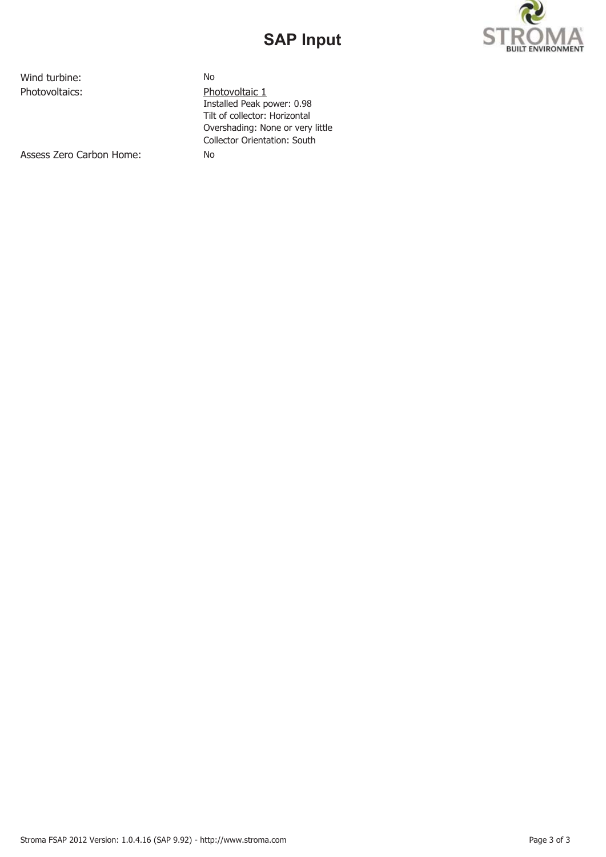## **SAP Input**



Wind turbine: No

Photovoltaics: Photovoltaic 1 Installed Peak power: 0.98 Tilt of collector: Horizontal Overshading: None or very little Collector Orientation: South

Assess Zero Carbon Home: No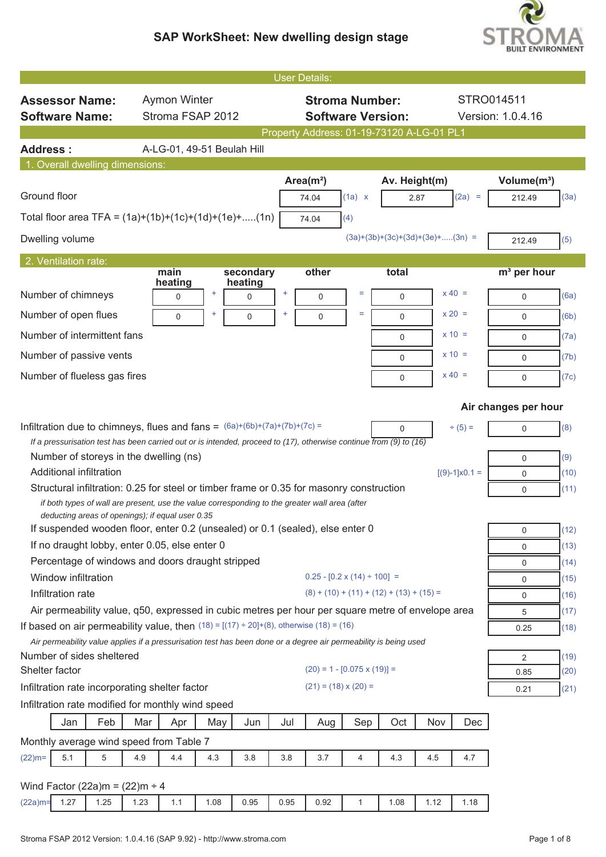

| <b>User Details:</b>                                                                                                                               |                                                |
|----------------------------------------------------------------------------------------------------------------------------------------------------|------------------------------------------------|
| <b>Aymon Winter</b><br><b>Stroma Number:</b><br>STRO014511<br><b>Assessor Name:</b>                                                                |                                                |
| Stroma FSAP 2012<br><b>Software Version:</b><br><b>Software Name:</b>                                                                              | Version: 1.0.4.16                              |
| Property Address: 01-19-73120 A-LG-01 PL1                                                                                                          |                                                |
| A-LG-01, 49-51 Beulah Hill<br><b>Address:</b>                                                                                                      |                                                |
| 1. Overall dwelling dimensions:                                                                                                                    |                                                |
| Area $(m2)$<br>Av. Height(m)<br>Ground floor<br>$(2a) =$<br>(1a) x<br>74.04<br>2.87                                                                | Volume(m <sup>3</sup> )<br>(3a)<br>212.49      |
| Total floor area TFA = $(1a)+(1b)+(1c)+(1d)+(1e)+(1n)$<br>(4)<br>74.04                                                                             |                                                |
| $(3a)+(3b)+(3c)+(3d)+(3e)+(3n)$ =<br>Dwelling volume                                                                                               | (5)<br>212.49                                  |
| 2. Ventilation rate:                                                                                                                               |                                                |
| main<br>secondary<br>other<br>total<br>heating<br>heating<br>$x 40 =$<br>Number of chimneys<br>÷<br>÷<br>Ξ<br>0<br>$\mathbf 0$<br>$\mathbf 0$<br>0 | m <sup>3</sup> per hour<br>(6a)<br>$\mathbf 0$ |
| Ξ<br>$x 20 =$<br>Number of open flues                                                                                                              |                                                |
| $\mathbf 0$<br>0<br>0<br>$\mathbf 0$<br>Number of intermittent fans<br>$x = 10 =$                                                                  | (6b)<br>$\mathbf 0$                            |
| 0                                                                                                                                                  | (7a)<br>0                                      |
| $x = 10 =$<br>Number of passive vents<br>$\mathbf 0$                                                                                               | (7b)<br>$\mathbf 0$                            |
| $x 40 =$<br>Number of flueless gas fires<br>$\mathbf 0$                                                                                            | (7c)<br>$\mathbf 0$                            |
|                                                                                                                                                    | Air changes per hour                           |
| Infiltration due to chimneys, flues and fans = $(6a)+(6b)+(7a)+(7b)+(7c) =$<br>$\div(5) =$<br>0                                                    | (8)<br>$\mathbf 0$                             |
| If a pressurisation test has been carried out or is intended, proceed to $(17)$ , otherwise continue from $(9)$ to $(16)$                          |                                                |
| Number of storeys in the dwelling (ns)<br><b>Additional infiltration</b>                                                                           | (9)<br>$\mathbf 0$                             |
| $[(9)-1] \times 0.1 =$<br>Structural infiltration: 0.25 for steel or timber frame or 0.35 for masonry construction                                 | (10)<br>$\mathbf 0$<br>(11)<br>$\mathbf 0$     |
| if both types of wall are present, use the value corresponding to the greater wall area (after<br>deducting areas of openings); if equal user 0.35 |                                                |
| If suspended wooden floor, enter 0.2 (unsealed) or 0.1 (sealed), else enter 0                                                                      | (12)<br>0                                      |
| If no draught lobby, enter 0.05, else enter 0                                                                                                      | (13)<br>$\mathbf 0$                            |
| Percentage of windows and doors draught stripped<br>$0.25 - [0.2 \times (14) \div 100] =$                                                          | (14)<br>0                                      |
| Window infiltration<br>$(8) + (10) + (11) + (12) + (13) + (15) =$<br>Infiltration rate                                                             | (15)<br>$\mathbf 0$<br>(16)                    |
| Air permeability value, q50, expressed in cubic metres per hour per square metre of envelope area                                                  | 0<br>(17)<br>5                                 |
| If based on air permeability value, then $(18) = [(17) \div 20] + (8)$ , otherwise $(18) = (16)$                                                   | (18)<br>0.25                                   |
| Air permeability value applies if a pressurisation test has been done or a degree air permeability is being used                                   |                                                |
| Number of sides sheltered                                                                                                                          | (19)<br>2                                      |
| $(20) = 1 - [0.075 \times (19)] =$<br>Shelter factor<br>$(21) = (18) \times (20) =$                                                                | (20)<br>0.85                                   |
| Infiltration rate incorporating shelter factor<br>Infiltration rate modified for monthly wind speed                                                | (21)<br>0.21                                   |
| Feb<br>Sep<br>Oct<br>Nov<br>Mar<br>May<br>Jul<br>Aug<br>Dec<br>Jan<br>Apr<br>Jun                                                                   |                                                |
| Monthly average wind speed from Table 7                                                                                                            |                                                |
| 5<br>4.4<br>4.5<br>$(22)$ m=<br>5.1<br>4.9<br>4.3<br>3.8<br>3.8<br>3.7<br>$\overline{4}$<br>4.3<br>4.7                                             |                                                |
|                                                                                                                                                    |                                                |
| Wind Factor (22a)m = $(22)$ m ÷ 4                                                                                                                  |                                                |
| 1.27<br>1.25<br>1.08<br>0.95<br>0.95<br>0.92<br>1.08<br>1.12<br>$(22a)$ m=<br>1.23<br>1.1<br>$\mathbf{1}$<br>1.18                                  |                                                |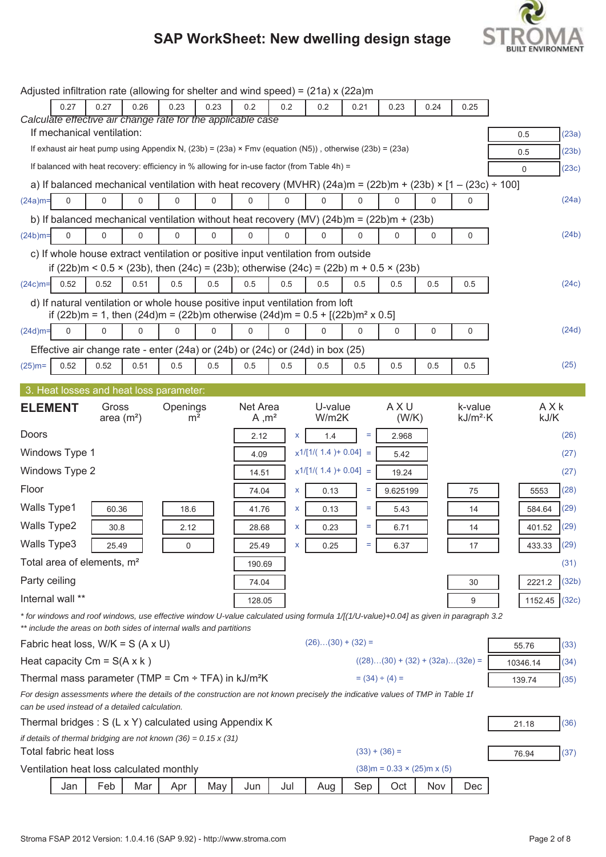

|                    |                        |                                                |             |                                                                        |             | Adjusted infiltration rate (allowing for shelter and wind speed) = (21a) x (22a)m                                                                                                         |          |                         |          |                                   |             |                        |          |                  |
|--------------------|------------------------|------------------------------------------------|-------------|------------------------------------------------------------------------|-------------|-------------------------------------------------------------------------------------------------------------------------------------------------------------------------------------------|----------|-------------------------|----------|-----------------------------------|-------------|------------------------|----------|------------------|
|                    | 0.27                   | 0.27                                           | 0.26        | 0.23                                                                   | 0.23        | 0.2                                                                                                                                                                                       | 0.2      | 0.2                     | 0.21     | 0.23                              | 0.24        | 0.25                   |          |                  |
|                    |                        |                                                |             |                                                                        |             | Calculate effective air change rate for the applicable case                                                                                                                               |          |                         |          |                                   |             |                        |          |                  |
|                    |                        | If mechanical ventilation:                     |             |                                                                        |             | If exhaust air heat pump using Appendix N, (23b) = (23a) × Fmv (equation (N5)), otherwise (23b) = (23a)                                                                                   |          |                         |          |                                   |             |                        | 0.5      | (23a)            |
|                    |                        |                                                |             |                                                                        |             |                                                                                                                                                                                           |          |                         |          |                                   |             |                        | 0.5      | (23b)            |
|                    |                        |                                                |             |                                                                        |             | If balanced with heat recovery: efficiency in % allowing for in-use factor (from Table 4h) =                                                                                              |          |                         |          |                                   |             |                        | $\Omega$ | (23c)            |
|                    |                        |                                                |             |                                                                        |             | a) If balanced mechanical ventilation with heat recovery (MVHR) $(24a)$ m = $(22b)$ m + $(23b) \times [1 - (23c) \div 100]$                                                               |          |                         |          |                                   |             |                        |          |                  |
| $(24a)$ m=         | 0                      | $\Omega$                                       | $\Omega$    | $\Omega$                                                               | $\Omega$    | $\Omega$                                                                                                                                                                                  | $\Omega$ | $\Omega$                | $\Omega$ | $\Omega$                          | $\Omega$    | $\Omega$               |          | (24a)            |
|                    |                        |                                                |             |                                                                        |             | b) If balanced mechanical ventilation without heat recovery (MV) $(24b)$ m = $(22b)$ m + $(23b)$                                                                                          |          |                         |          |                                   |             |                        |          |                  |
| $(24b)$ m=         | $\Omega$               | 0                                              | $\Omega$    | $\Omega$                                                               | $\mathbf 0$ | 0                                                                                                                                                                                         | 0        | $\Omega$                | $\Omega$ | $\Omega$                          | $\mathbf 0$ | 0                      |          | (24b)            |
|                    |                        |                                                |             |                                                                        |             | c) If whole house extract ventilation or positive input ventilation from outside<br>if $(22b)$ m < 0.5 × $(23b)$ , then $(24c)$ = $(23b)$ ; otherwise $(24c)$ = $(22b)$ m + 0.5 × $(23b)$ |          |                         |          |                                   |             |                        |          |                  |
| $(24c)$ m=         | 0.52                   | 0.52                                           | 0.51        | 0.5                                                                    | 0.5         | 0.5                                                                                                                                                                                       | 0.5      | 0.5                     | 0.5      | 0.5                               | 0.5         | 0.5                    |          | (24c)            |
|                    |                        |                                                |             |                                                                        |             | d) If natural ventilation or whole house positive input ventilation from loft<br>if (22b)m = 1, then (24d)m = (22b)m otherwise (24d)m = $0.5 + [(22b)m2 \times 0.5]$                      |          |                         |          |                                   |             |                        |          |                  |
| $(24d)$ m=         | $\Omega$               | 0                                              | $\mathbf 0$ | 0                                                                      | $\mathbf 0$ | 0                                                                                                                                                                                         | 0        | 0                       | 0        | 0                                 | 0           | 0                      |          | (24d)            |
|                    |                        |                                                |             |                                                                        |             |                                                                                                                                                                                           |          |                         |          |                                   |             |                        |          |                  |
| $(25)$ m=          | 0.52                   | 0.52                                           | 0.51        | 0.5                                                                    | 0.5         | Effective air change rate - enter (24a) or (24b) or (24c) or (24d) in box (25)<br>0.5                                                                                                     | 0.5      | 0.5                     | 0.5      | 0.5                               | 0.5         | 0.5                    |          | (25)             |
|                    |                        |                                                |             |                                                                        |             |                                                                                                                                                                                           |          |                         |          |                                   |             |                        |          |                  |
|                    |                        |                                                |             | 3. Heat losses and heat loss parameter:                                |             |                                                                                                                                                                                           |          |                         |          |                                   |             |                        |          |                  |
| <b>ELEMENT</b>     |                        | Gross<br>area $(m2)$                           |             | Openings<br>m <sup>2</sup>                                             |             | Net Area<br>A, m <sup>2</sup>                                                                                                                                                             |          | U-value<br>W/m2K        |          | AXU<br>(W/K)                      |             | k-value<br>$kJ/m^2$ ·K |          | AXk<br>kJ/K      |
| Doors              |                        |                                                |             |                                                                        |             | 2.12                                                                                                                                                                                      | X        | 1.4                     | $=$      | 2.968                             |             |                        |          | (26)             |
|                    | Windows Type 1         |                                                |             |                                                                        |             | 4.09                                                                                                                                                                                      |          | $x1/[1/(1.4) + 0.04] =$ |          | 5.42                              |             |                        |          | (27)             |
|                    | Windows Type 2         |                                                |             |                                                                        |             | 14.51                                                                                                                                                                                     |          | $x1/[1/(1.4) + 0.04] =$ |          | 19.24                             |             |                        |          | (27)             |
| Floor              |                        |                                                |             |                                                                        |             | 74.04                                                                                                                                                                                     | X        | 0.13                    | Ξ        | 9.625199                          |             | 75                     |          | (28)<br>5553     |
| <b>Walls Type1</b> |                        | 60.36                                          |             | 18.6                                                                   |             | 41.76                                                                                                                                                                                     | X        | 0.13                    | $=$      | 5.43                              |             | 14                     |          | (29)<br>584.64   |
| <b>Walls Type2</b> |                        | 30.8                                           |             | 2.12                                                                   |             | 28.68                                                                                                                                                                                     | X        | 0.23                    | Ξ        | 6.71                              |             | 14                     |          | 401.52<br>(29)   |
| Walls Type3        |                        | 25.49                                          |             | 0                                                                      |             | 25.49                                                                                                                                                                                     | X        | 0.25                    | Ξ.       | 6.37                              |             | 17                     |          | (29)<br>433.33   |
|                    |                        | Total area of elements, m <sup>2</sup>         |             |                                                                        |             | 190.69                                                                                                                                                                                    |          |                         |          |                                   |             |                        |          | (31)             |
| Party ceiling      |                        |                                                |             |                                                                        |             | 74.04                                                                                                                                                                                     |          |                         |          |                                   |             | 30                     |          | (32b)<br>2221.2  |
|                    | Internal wall **       |                                                |             |                                                                        |             | 128.05                                                                                                                                                                                    |          |                         |          |                                   |             | 9                      |          | (32c)<br>1152.45 |
|                    |                        |                                                |             | ** include the areas on both sides of internal walls and partitions    |             | *for windows and roof windows, use effective window U-value calculated using formula 1/[(1/U-value)+0.04] as given in paragraph 3.2                                                       |          |                         |          |                                   |             |                        |          |                  |
|                    |                        | Fabric heat loss, $W/K = S (A \times U)$       |             |                                                                        |             |                                                                                                                                                                                           |          | $(26)(30) + (32) =$     |          |                                   |             |                        | 55.76    | (33)             |
|                    |                        | Heat capacity $Cm = S(A \times k)$             |             |                                                                        |             |                                                                                                                                                                                           |          |                         |          | $((28)(30) + (32) + (32a)(32e) =$ |             |                        | 10346.14 | (34)             |
|                    |                        |                                                |             |                                                                        |             | Thermal mass parameter (TMP = $\text{Cm} \div \text{TFA}$ ) in kJ/m <sup>2</sup> K                                                                                                        |          |                         |          | $= (34) \div (4) =$               |             |                        | 139.74   | (35)             |
|                    |                        | can be used instead of a detailed calculation. |             |                                                                        |             | For design assessments where the details of the construction are not known precisely the indicative values of TMP in Table 1f                                                             |          |                         |          |                                   |             |                        |          |                  |
|                    |                        |                                                |             |                                                                        |             | Thermal bridges: S (L x Y) calculated using Appendix K                                                                                                                                    |          |                         |          |                                   |             |                        | 21.18    | (36)             |
|                    |                        |                                                |             | if details of thermal bridging are not known $(36) = 0.15 \times (31)$ |             |                                                                                                                                                                                           |          |                         |          |                                   |             |                        |          |                  |
|                    | Total fabric heat loss |                                                |             |                                                                        |             |                                                                                                                                                                                           |          |                         |          | $(33) + (36) =$                   |             |                        | 76.94    | (37)             |
|                    |                        |                                                |             | Ventilation heat loss calculated monthly                               |             |                                                                                                                                                                                           |          |                         |          | $(38)$ m = 0.33 × (25)m x (5)     |             |                        |          |                  |
|                    | Jan                    | Feb                                            | Mar         | Apr                                                                    | May         | Jun                                                                                                                                                                                       | Jul      | Aug                     | Sep      | Oct                               | Nov         | Dec                    |          |                  |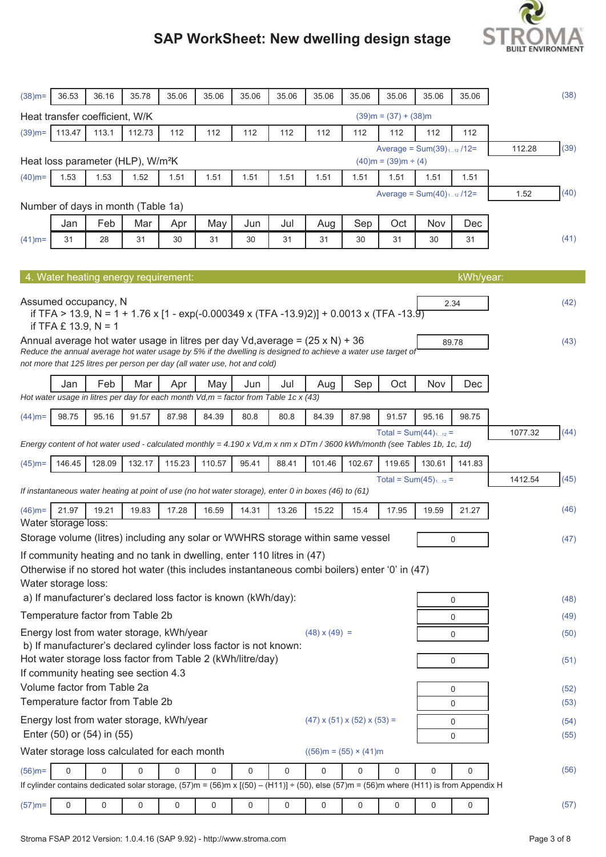# **BUILT ENVIRONMENT**

| $(38)$ m=                                                                                                                                                        | 36.53                  | 36.16                          | 35.78                                                                                                                                                                                     | 35.06    | 35.06       | 35.06 | 35.06 | 35.06                               | 35.06  | 35.06                       | 35.06                          | 35.06     |         | (38)         |
|------------------------------------------------------------------------------------------------------------------------------------------------------------------|------------------------|--------------------------------|-------------------------------------------------------------------------------------------------------------------------------------------------------------------------------------------|----------|-------------|-------|-------|-------------------------------------|--------|-----------------------------|--------------------------------|-----------|---------|--------------|
|                                                                                                                                                                  |                        | Heat transfer coefficient, W/K |                                                                                                                                                                                           |          |             |       |       |                                     |        | $(39)$ m = $(37) + (38)$ m  |                                |           |         |              |
| $(39)$ m=                                                                                                                                                        | 113.47                 | 113.1                          | 112.73                                                                                                                                                                                    | 112      | 112         | 112   | 112   | 112                                 | 112    | 112                         | 112                            | 112       |         |              |
|                                                                                                                                                                  |                        |                                | Heat loss parameter (HLP), W/m <sup>2</sup> K                                                                                                                                             |          |             |       |       |                                     |        | $(40)$ m = $(39)$ m ÷ $(4)$ | Average = $Sum(39)_{112}$ /12= |           | 112.28  | (39)         |
| $(40)$ m=                                                                                                                                                        | 1.53                   | 1.53                           | 1.52                                                                                                                                                                                      | 1.51     | 1.51        | 1.51  | 1.51  | 1.51                                | 1.51   | 1.51                        | 1.51                           | 1.51      |         |              |
|                                                                                                                                                                  |                        |                                | Number of days in month (Table 1a)                                                                                                                                                        |          |             |       |       |                                     |        |                             | Average = $Sum(40)_{112}$ /12= |           | 1.52    | (40)         |
|                                                                                                                                                                  | Jan                    | Feb                            | Mar                                                                                                                                                                                       | Apr      | May         | Jun   | Jul   | Aug                                 | Sep    | Oct                         | Nov                            | Dec       |         |              |
| $(41)$ m=                                                                                                                                                        | 31                     | 28                             | 31                                                                                                                                                                                        | 30       | 31          | 30    | 31    | 31                                  | 30     | 31                          | 30                             | 31        |         | (41)         |
|                                                                                                                                                                  |                        |                                |                                                                                                                                                                                           |          |             |       |       |                                     |        |                             |                                |           |         |              |
|                                                                                                                                                                  |                        |                                | 4. Water heating energy requirement:                                                                                                                                                      |          |             |       |       |                                     |        |                             |                                | kWh/year: |         |              |
|                                                                                                                                                                  | if TFA $£$ 13.9, N = 1 | Assumed occupancy, N           | if TFA > 13.9, N = 1 + 1.76 x [1 - exp(-0.000349 x (TFA -13.9)2)] + 0.0013 x (TFA -13.9)                                                                                                  |          |             |       |       |                                     |        |                             |                                | 2.34      |         | (42)         |
|                                                                                                                                                                  |                        |                                | Annual average hot water usage in litres per day Vd, average = $(25 \times N)$ + 36                                                                                                       |          |             |       |       |                                     |        |                             |                                | 89.78     |         | (43)         |
|                                                                                                                                                                  |                        |                                | Reduce the annual average hot water usage by 5% if the dwelling is designed to achieve a water use target of<br>not more that 125 litres per person per day (all water use, hot and cold) |          |             |       |       |                                     |        |                             |                                |           |         |              |
|                                                                                                                                                                  | Jan                    | Feb                            | Mar                                                                                                                                                                                       | Apr      | May         | Jun   | Jul   | Aug                                 | Sep    | Oct                         | Nov                            | Dec       |         |              |
|                                                                                                                                                                  |                        |                                | Hot water usage in litres per day for each month $Vd, m =$ factor from Table 1c x (43)                                                                                                    |          |             |       |       |                                     |        |                             |                                |           |         |              |
| $(44)$ m=                                                                                                                                                        | 98.75                  | 95.16                          | 91.57                                                                                                                                                                                     | 87.98    | 84.39       | 80.8  | 80.8  | 84.39                               | 87.98  | 91.57                       | 95.16                          | 98.75     |         |              |
| 1077.32<br>Total = $Sum(44)_{112}$ =<br>Energy content of hot water used - calculated monthly = 4.190 x Vd,m x nm x DTm / 3600 kWh/month (see Tables 1b, 1c, 1d) |                        |                                |                                                                                                                                                                                           |          |             |       |       |                                     |        |                             |                                | (44)      |         |              |
| $(45)$ m=                                                                                                                                                        | 146.45                 | 128.09                         | 132.17                                                                                                                                                                                    | 115.23   | 110.57      | 95.41 | 88.41 | 101.46                              | 102.67 | 119.65                      | 130.61                         | 141.83    |         |              |
|                                                                                                                                                                  |                        |                                | If instantaneous water heating at point of use (no hot water storage), enter 0 in boxes (46) to (61)                                                                                      |          |             |       |       |                                     |        |                             | Total = $Sum(45)_{112}$ =      |           | 1412.54 | (45)         |
| $(46)$ m=                                                                                                                                                        | 21.97                  | 19.21                          | 19.83                                                                                                                                                                                     | 17.28    | 16.59       | 14.31 | 13.26 | 15.22                               | 15.4   | 17.95                       | 19.59                          | 21.27     |         | (46)         |
|                                                                                                                                                                  | Water storage loss:    |                                |                                                                                                                                                                                           |          |             |       |       |                                     |        |                             |                                |           |         |              |
|                                                                                                                                                                  |                        |                                | Storage volume (litres) including any solar or WWHRS storage within same vessel                                                                                                           |          |             |       |       |                                     |        |                             |                                | 0         |         | (47)         |
|                                                                                                                                                                  |                        |                                | If community heating and no tank in dwelling, enter 110 litres in (47)<br>Otherwise if no stored hot water (this includes instantaneous combi boilers) enter '0' in (47)                  |          |             |       |       |                                     |        |                             |                                |           |         |              |
|                                                                                                                                                                  | Water storage loss:    |                                | a) If manufacturer's declared loss factor is known (kWh/day):                                                                                                                             |          |             |       |       |                                     |        |                             |                                |           |         |              |
|                                                                                                                                                                  |                        |                                | Temperature factor from Table 2b                                                                                                                                                          |          |             |       |       |                                     |        |                             |                                | 0         |         | (48)         |
|                                                                                                                                                                  |                        |                                | Energy lost from water storage, kWh/year                                                                                                                                                  |          |             |       |       | $(48) \times (49) =$                |        |                             |                                | 0         |         | (49)         |
|                                                                                                                                                                  |                        |                                | b) If manufacturer's declared cylinder loss factor is not known:                                                                                                                          |          |             |       |       |                                     |        |                             |                                | 0         |         | (50)         |
|                                                                                                                                                                  |                        |                                | Hot water storage loss factor from Table 2 (kWh/litre/day)                                                                                                                                |          |             |       |       |                                     |        |                             |                                | 0         |         | (51)         |
|                                                                                                                                                                  |                        | Volume factor from Table 2a    | If community heating see section 4.3                                                                                                                                                      |          |             |       |       |                                     |        |                             |                                |           |         |              |
|                                                                                                                                                                  |                        |                                | Temperature factor from Table 2b                                                                                                                                                          |          |             |       |       |                                     |        |                             |                                | 0<br>0    |         | (52)<br>(53) |
|                                                                                                                                                                  |                        |                                | Energy lost from water storage, kWh/year                                                                                                                                                  |          |             |       |       | $(47)$ x $(51)$ x $(52)$ x $(53)$ = |        |                             |                                |           |         |              |
|                                                                                                                                                                  |                        | Enter (50) or (54) in (55)     |                                                                                                                                                                                           |          |             |       |       |                                     |        |                             |                                | 0<br>0    |         | (54)<br>(55) |
|                                                                                                                                                                  |                        |                                | Water storage loss calculated for each month                                                                                                                                              |          |             |       |       | $((56)m = (55) \times (41)m)$       |        |                             |                                |           |         |              |
| $(56)$ m=                                                                                                                                                        | $\mathbf 0$            | 0                              | 0                                                                                                                                                                                         | $\Omega$ | $\mathbf 0$ | 0     | 0     | $\mathbf 0$                         | 0      | $\mathbf 0$                 | 0                              | 0         |         | (56)         |
|                                                                                                                                                                  |                        |                                | If cylinder contains dedicated solar storage, $(57)$ m = $(56)$ m x $[(50) - (H11)] + (50)$ , else $(57)$ m = $(56)$ m where $(H11)$ is from Appendix H                                   |          |             |       |       |                                     |        |                             |                                |           |         |              |
| $(57)$ m=                                                                                                                                                        | 0                      | 0                              | 0                                                                                                                                                                                         | 0        | 0           | 0     | 0     | 0                                   | 0      | 0                           | 0                              | 0         |         | (57)         |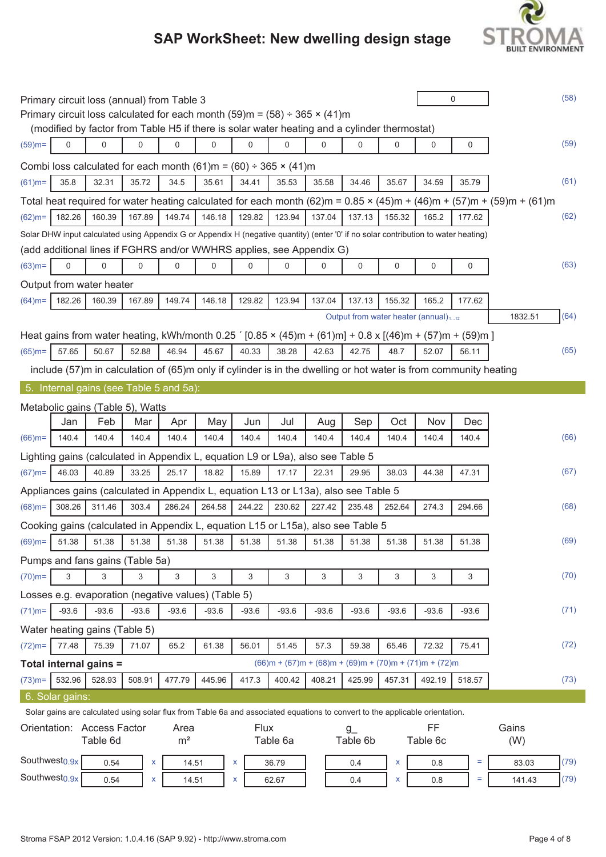

|           |                 | Primary circuit loss (annual) from Table 3                                                                                                               |         |         |         |             |         |         |                                                         |         |         | 0       |                                                                                                                                          | (58) |
|-----------|-----------------|----------------------------------------------------------------------------------------------------------------------------------------------------------|---------|---------|---------|-------------|---------|---------|---------------------------------------------------------|---------|---------|---------|------------------------------------------------------------------------------------------------------------------------------------------|------|
|           |                 | Primary circuit loss calculated for each month $(59)$ m = $(58) \div 365 \times (41)$ m                                                                  |         |         |         |             |         |         |                                                         |         |         |         |                                                                                                                                          |      |
|           |                 | (modified by factor from Table H5 if there is solar water heating and a cylinder thermostat)                                                             |         |         |         |             |         |         |                                                         |         |         |         |                                                                                                                                          |      |
| $(59)$ m= | 0               | 0                                                                                                                                                        | 0       | 0       | 0       | 0           | 0       | 0       | 0                                                       | 0       | 0       | 0       |                                                                                                                                          | (59) |
|           |                 | Combi loss calculated for each month (61)m = (60) ÷ 365 × (41)m                                                                                          |         |         |         |             |         |         |                                                         |         |         |         |                                                                                                                                          |      |
| $(61)$ m= | 35.8            | 32.31                                                                                                                                                    | 35.72   | 34.5    | 35.61   | 34.41       | 35.53   | 35.58   | 34.46                                                   | 35.67   | 34.59   | 35.79   |                                                                                                                                          | (61) |
|           |                 |                                                                                                                                                          |         |         |         |             |         |         |                                                         |         |         |         | Total heat required for water heating calculated for each month (62)m = $0.85 \times (45)$ m + $(46)$ m + $(57)$ m + $(59)$ m + $(61)$ m |      |
| $(62)$ m= | 182.26          | 160.39                                                                                                                                                   | 167.89  | 149.74  | 146.18  | 129.82      | 123.94  | 137.04  | 137.13                                                  | 155.32  | 165.2   | 177.62  |                                                                                                                                          | (62) |
|           |                 | Solar DHW input calculated using Appendix G or Appendix H (negative quantity) (enter '0' if no solar contribution to water heating)                      |         |         |         |             |         |         |                                                         |         |         |         |                                                                                                                                          |      |
|           |                 | (add additional lines if FGHRS and/or WWHRS applies, see Appendix G)                                                                                     |         |         |         |             |         |         |                                                         |         |         |         |                                                                                                                                          |      |
| $(63)$ m= | 0               | 0                                                                                                                                                        | 0       | 0       | 0       | 0           | 0       | 0       | 0                                                       | 0       | 0       | 0       |                                                                                                                                          | (63) |
|           |                 | Output from water heater                                                                                                                                 |         |         |         |             |         |         |                                                         |         |         |         |                                                                                                                                          |      |
| $(64)$ m= | 182.26          | 160.39                                                                                                                                                   | 167.89  | 149.74  | 146.18  | 129.82      | 123.94  | 137.04  | 137.13                                                  | 155.32  | 165.2   | 177.62  |                                                                                                                                          |      |
|           |                 |                                                                                                                                                          |         |         |         |             |         |         | Output from water heater (annual) <sub>112</sub>        |         |         |         | 1832.51                                                                                                                                  | (64) |
|           |                 | Heat gains from water heating, kWh/month 0.25 $(0.85 \times (45) \text{m} + (61) \text{m}] + 0.8 \times [(46) \text{m} + (57) \text{m} + (59) \text{m}]$ |         |         |         |             |         |         |                                                         |         |         |         |                                                                                                                                          |      |
| $(65)$ m= | 57.65           | 50.67                                                                                                                                                    | 52.88   | 46.94   | 45.67   | 40.33       | 38.28   | 42.63   | 42.75                                                   | 48.7    | 52.07   | 56.11   |                                                                                                                                          | (65) |
|           |                 | include (57)m in calculation of (65)m only if cylinder is in the dwelling or hot water is from community heating                                         |         |         |         |             |         |         |                                                         |         |         |         |                                                                                                                                          |      |
|           |                 | 5. Internal gains (see Table 5 and 5a):                                                                                                                  |         |         |         |             |         |         |                                                         |         |         |         |                                                                                                                                          |      |
|           |                 | Metabolic gains (Table 5), Watts                                                                                                                         |         |         |         |             |         |         |                                                         |         |         |         |                                                                                                                                          |      |
|           | Jan             | Feb                                                                                                                                                      | Mar     | Apr     | May     | Jun         | Jul     | Aug     | Sep                                                     | Oct     | Nov     | Dec     |                                                                                                                                          |      |
| $(66)$ m= | 140.4           | 140.4                                                                                                                                                    | 140.4   | 140.4   | 140.4   | 140.4       | 140.4   | 140.4   | 140.4                                                   | 140.4   | 140.4   | 140.4   |                                                                                                                                          | (66) |
|           |                 | Lighting gains (calculated in Appendix L, equation L9 or L9a), also see Table 5                                                                          |         |         |         |             |         |         |                                                         |         |         |         |                                                                                                                                          |      |
| $(67)$ m= | 46.03           | 40.89                                                                                                                                                    | 33.25   | 25.17   | 18.82   | 15.89       | 17.17   | 22.31   | 29.95                                                   | 38.03   | 44.38   | 47.31   |                                                                                                                                          | (67) |
|           |                 | Appliances gains (calculated in Appendix L, equation L13 or L13a), also see Table 5                                                                      |         |         |         |             |         |         |                                                         |         |         |         |                                                                                                                                          |      |
| $(68)$ m= | 308.26          | 311.46                                                                                                                                                   | 303.4   | 286.24  | 264.58  | 244.22      | 230.62  | 227.42  | 235.48                                                  | 252.64  | 274.3   | 294.66  |                                                                                                                                          | (68) |
|           |                 | Cooking gains (calculated in Appendix L, equation L15 or L15a), also see Table 5                                                                         |         |         |         |             |         |         |                                                         |         |         |         |                                                                                                                                          |      |
|           |                 | $(69)$ m=   51.38   51.38   51.38   51.38   51.38   51.38   51.38                                                                                        |         |         |         |             |         | 51.38   | 51.38                                                   | 51.38   | 51.38   | 51.38   |                                                                                                                                          | (69) |
|           |                 | Pumps and fans gains (Table 5a)                                                                                                                          |         |         |         |             |         |         |                                                         |         |         |         |                                                                                                                                          |      |
| $(70)$ m= | 3               | 3                                                                                                                                                        | 3       | 3       | 3       | 3           | 3       | 3       | 3                                                       | 3       | 3       | 3       |                                                                                                                                          | (70) |
|           |                 | Losses e.g. evaporation (negative values) (Table 5)                                                                                                      |         |         |         |             |         |         |                                                         |         |         |         |                                                                                                                                          |      |
| $(71)$ m= | $-93.6$         | $-93.6$                                                                                                                                                  | $-93.6$ | $-93.6$ | $-93.6$ | $-93.6$     | $-93.6$ | $-93.6$ | $-93.6$                                                 | $-93.6$ | $-93.6$ | $-93.6$ |                                                                                                                                          | (71) |
|           |                 | Water heating gains (Table 5)                                                                                                                            |         |         |         |             |         |         |                                                         |         |         |         |                                                                                                                                          |      |
| $(72)$ m= | 77.48           | 75.39                                                                                                                                                    | 71.07   | 65.2    | 61.38   | 56.01       | 51.45   | 57.3    | 59.38                                                   | 65.46   | 72.32   | 75.41   |                                                                                                                                          | (72) |
|           |                 | Total internal gains =                                                                                                                                   |         |         |         |             |         |         | $(66)m + (67)m + (68)m + (69)m + (70)m + (71)m + (72)m$ |         |         |         |                                                                                                                                          |      |
| $(73)$ m= | 532.96          | 528.93                                                                                                                                                   | 508.91  | 477.79  | 445.96  | 417.3       | 400.42  | 408.21  | 425.99                                                  | 457.31  | 492.19  | 518.57  |                                                                                                                                          | (73) |
|           | 6. Solar gains: |                                                                                                                                                          |         |         |         |             |         |         |                                                         |         |         |         |                                                                                                                                          |      |
|           |                 | Solar gains are calculated using solar flux from Table 6a and associated equations to convert to the applicable orientation.                             |         |         |         |             |         |         |                                                         |         |         |         |                                                                                                                                          |      |
|           |                 | Orientation: Access Factor                                                                                                                               |         | Area    |         | <b>Flux</b> |         |         | $g_{-}$                                                 |         | FF      |         | Gains                                                                                                                                    |      |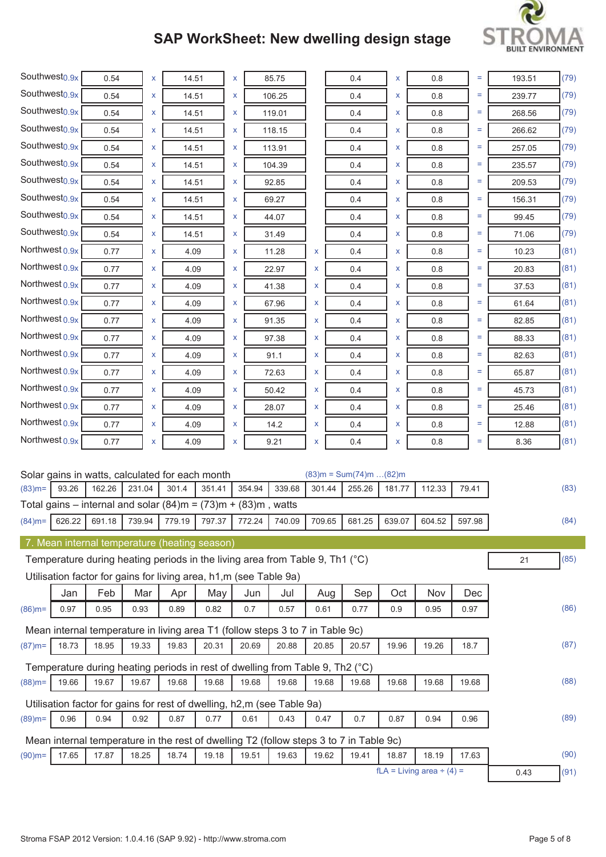

| Southwest <sub>0.9x</sub> |             | 0.54                                                                                   |             | X | 14.51       |             | X |            | 85.75       |        |     | 0.4                        | x          | 0.8                            |       | $=$    | 193.51 | (79) |
|---------------------------|-------------|----------------------------------------------------------------------------------------|-------------|---|-------------|-------------|---|------------|-------------|--------|-----|----------------------------|------------|--------------------------------|-------|--------|--------|------|
| Southwest <sub>0.9x</sub> |             | 0.54                                                                                   |             | X | 14.51       |             | X |            | 106.25      |        |     | 0.4                        | x          | 0.8                            |       | Ξ      | 239.77 | (79) |
| Southwest <sub>0.9x</sub> |             | 0.54                                                                                   |             | X | 14.51       |             | X |            | 119.01      |        |     | 0.4                        | x          | 0.8                            |       | Ξ      | 268.56 | (79) |
| Southwest <sub>0.9x</sub> |             | 0.54                                                                                   |             | X | 14.51       |             | X |            | 118.15      |        |     | 0.4                        | x          | 0.8                            |       | Ξ      | 266.62 | (79) |
| Southwest <sub>0.9x</sub> |             | 0.54                                                                                   |             | x | 14.51       |             | X |            | 113.91      |        |     | 0.4                        | x          | 0.8                            |       | $=$    | 257.05 | (79) |
| Southwest <sub>0.9x</sub> |             | 0.54                                                                                   |             | X | 14.51       |             | x |            | 104.39      |        |     | 0.4                        | x          | 0.8                            |       | Ξ      | 235.57 | (79) |
| Southwest <sub>0.9x</sub> |             | 0.54                                                                                   |             | X | 14.51       |             | X |            | 92.85       |        |     | 0.4                        | x          | 0.8                            |       | Ξ      | 209.53 | (79) |
| Southwest <sub>0.9x</sub> |             | 0.54                                                                                   |             | X | 14.51       |             | X |            | 69.27       |        |     | 0.4                        | X          | 0.8                            |       | $=$    | 156.31 | (79) |
| Southwest <sub>0.9x</sub> |             | 0.54                                                                                   |             | X | 14.51       |             | X |            | 44.07       |        |     | 0.4                        | x          | 0.8                            |       | Ξ      | 99.45  | (79) |
| Southwest <sub>0.9x</sub> |             | 0.54                                                                                   |             | X | 14.51       |             | X |            | 31.49       |        |     | 0.4                        | X          | 0.8                            |       | Ξ      | 71.06  | (79) |
| Northwest 0.9x            |             | 0.77                                                                                   |             | X | 4.09        |             | X |            | 11.28       | X      |     | 0.4                        | x          | 0.8                            |       | $=$    | 10.23  | (81) |
| Northwest 0.9x            |             | 0.77                                                                                   |             | x | 4.09        |             | x |            | 22.97       | x      |     | 0.4                        | x          | 0.8                            |       | Ξ      | 20.83  | (81) |
| Northwest 0.9x            |             | 0.77                                                                                   |             | X | 4.09        |             | x |            | 41.38       | x      |     | 0.4                        | x          | 0.8                            |       | $=$    | 37.53  | (81) |
| Northwest 0.9x            |             | 0.77                                                                                   |             | X | 4.09        |             | X |            | 67.96       | x      |     | 0.4                        | x          | 0.8                            |       | Ξ      | 61.64  | (81) |
| Northwest 0.9x            |             | 0.77                                                                                   |             | X | 4.09        |             | X |            | 91.35       | X      |     | 0.4                        | x          | 0.8                            |       | Ξ      | 82.85  | (81) |
| Northwest 0.9x            |             | 0.77                                                                                   |             | X | 4.09        |             | X |            | 97.38       | x      |     | 0.4                        | X          | 0.8                            |       | $=$    | 88.33  | (81) |
| Northwest 0.9x            |             | 0.77                                                                                   |             | X | 4.09        |             | X |            | 91.1        | x      |     | 0.4                        | x          | 0.8                            |       | $=$    | 82.63  | (81) |
| Northwest 0.9x            |             | 0.77                                                                                   |             | X | 4.09        |             | x |            | 72.63       | x      |     | 0.4                        | x          | 0.8                            |       | Ξ      | 65.87  | (81) |
| Northwest 0.9x            |             | 0.77                                                                                   |             | X | 4.09        |             | X |            | 50.42       | x      |     | 0.4                        | x          | 0.8                            |       | $=$    | 45.73  | (81) |
| Northwest 0.9x            |             | 0.77                                                                                   |             | X | 4.09        |             | X |            | 28.07       | x      |     | 0.4                        | x          | 0.8                            |       | Ξ      | 25.46  | (81) |
| Northwest 0.9x            |             | 0.77                                                                                   |             | X | 4.09        |             | X |            | 14.2        | x      |     | 0.4                        | x          | 0.8                            |       | Ξ      | 12.88  | (81) |
| Northwest 0.9x            |             | 0.77                                                                                   |             | X | 4.09        |             | X |            | 9.21        | x      |     | 0.4                        | x          | 0.8                            |       | $=$    | 8.36   | (81) |
|                           |             |                                                                                        |             |   |             |             |   |            |             |        |     |                            |            |                                |       |        |        |      |
|                           |             | Solar gains in watts, calculated for each month                                        |             |   |             |             |   |            |             |        |     | $(83)m = Sum(74)m$ $(82)m$ |            |                                |       |        |        |      |
| $(83)$ m=                 | 93.26       | 162.26<br>Total gains – internal and solar $(84)$ m = $(73)$ m + $(83)$ m, watts       | 231.04      |   | 301.4       | 351.41      |   | 354.94     | 339.68      | 301.44 |     | 255.26                     | 181.77     | 112.33                         | 79.41 |        |        | (83) |
| $(84)$ m=                 | 626.22      | 691.18                                                                                 | 739.94      |   | 779.19      | 797.37      |   | 772.24     | 740.09      | 709.65 |     | 681.25                     | 639.07     | 604.52                         |       | 597.98 |        | (84) |
|                           |             |                                                                                        |             |   |             |             |   |            |             |        |     |                            |            |                                |       |        |        |      |
|                           |             | 7. Mean internal temperature (heating season)                                          |             |   |             |             |   |            |             |        |     |                            |            |                                |       |        |        |      |
|                           |             | Temperature during heating periods in the living area from Table 9, Th1 (°C)           |             |   |             |             |   |            |             |        |     |                            |            |                                |       |        | 21     | (85) |
|                           |             | Utilisation factor for gains for living area, h1,m (see Table 9a)                      |             |   |             |             |   |            |             |        |     |                            |            |                                |       |        |        |      |
|                           | Jan<br>0.97 | Feb<br>0.95                                                                            | Mar<br>0.93 |   | Apr<br>0.89 | May<br>0.82 |   | Jun<br>0.7 | Jul<br>0.57 | 0.61   | Aug | Sep<br>0.77                | Oct<br>0.9 | Nov<br>0.95                    | 0.97  | Dec    |        | (86) |
| $(86)$ m=                 |             |                                                                                        |             |   |             |             |   |            |             |        |     |                            |            |                                |       |        |        |      |
|                           |             | Mean internal temperature in living area T1 (follow steps 3 to 7 in Table 9c)          |             |   |             |             |   |            |             |        |     |                            |            |                                |       |        |        |      |
| $(87)$ m=                 | 18.73       | 18.95                                                                                  | 19.33       |   | 19.83       | 20.31       |   | 20.69      | 20.88       | 20.85  |     | 20.57                      | 19.96      | 19.26                          | 18.7  |        |        | (87) |
|                           |             | Temperature during heating periods in rest of dwelling from Table 9, Th2 (°C)          |             |   |             |             |   |            |             |        |     |                            |            |                                |       |        |        |      |
| $(88)$ m=                 | 19.66       | 19.67                                                                                  | 19.67       |   | 19.68       | 19.68       |   | 19.68      | 19.68       | 19.68  |     | 19.68                      | 19.68      | 19.68                          | 19.68 |        |        | (88) |
|                           |             | Utilisation factor for gains for rest of dwelling, h2,m (see Table 9a)                 |             |   |             |             |   |            |             |        |     |                            |            |                                |       |        |        |      |
| $(89)$ m=                 | 0.96        | 0.94                                                                                   | 0.92        |   | 0.87        | 0.77        |   | 0.61       | 0.43        | 0.47   |     | 0.7                        | 0.87       | 0.94                           | 0.96  |        |        | (89) |
|                           |             | Mean internal temperature in the rest of dwelling T2 (follow steps 3 to 7 in Table 9c) |             |   |             |             |   |            |             |        |     |                            |            |                                |       |        |        |      |
| $(90)$ m=                 | 17.65       | 17.87                                                                                  | 18.25       |   | 18.74       | 19.18       |   | 19.51      | 19.63       | 19.62  |     | 19.41                      | 18.87      | 18.19                          | 17.63 |        |        | (90) |
|                           |             |                                                                                        |             |   |             |             |   |            |             |        |     |                            |            | $fLA = Living area \div (4) =$ |       |        | 0.43   | (91) |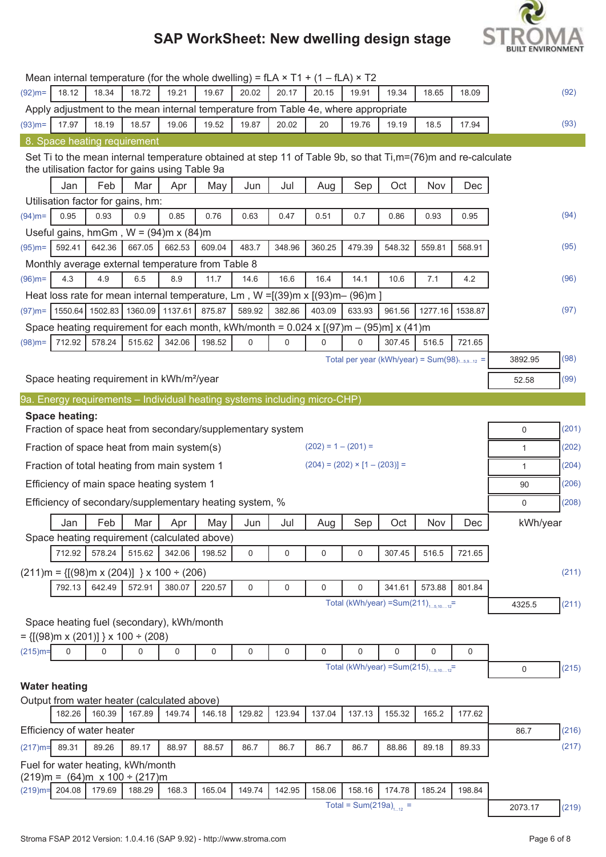

|            |                       |                                                                             |         |             |           | Mean internal temperature (for the whole dwelling) = $fLA \times T1 + (1 - fLA) \times T2$ |             |                       |                                                                                                                           |        |             |             |              |       |
|------------|-----------------------|-----------------------------------------------------------------------------|---------|-------------|-----------|--------------------------------------------------------------------------------------------|-------------|-----------------------|---------------------------------------------------------------------------------------------------------------------------|--------|-------------|-------------|--------------|-------|
| $(92)$ m=  | 18.12                 | 18.34                                                                       | 18.72   | 19.21       | 19.67     | 20.02                                                                                      | 20.17       | 20.15                 | 19.91                                                                                                                     | 19.34  | 18.65       | 18.09       |              | (92)  |
|            |                       |                                                                             |         |             |           |                                                                                            |             |                       | Apply adjustment to the mean internal temperature from Table 4e, where appropriate                                        |        |             |             |              |       |
| $(93)$ m=  | 17.97                 | 18.19                                                                       | 18.57   | 19.06       | 19.52     | 19.87                                                                                      | 20.02       | 20                    | 19.76                                                                                                                     | 19.19  | 18.5        | 17.94       |              | (93)  |
|            |                       | 8. Space heating requirement                                                |         |             |           |                                                                                            |             |                       |                                                                                                                           |        |             |             |              |       |
|            |                       | the utilisation factor for gains using Table 9a                             |         |             |           |                                                                                            |             |                       | Set Ti to the mean internal temperature obtained at step 11 of Table 9b, so that $Ti, m = (76)$ m and re-calculate        |        |             |             |              |       |
|            | Jan                   | Feb                                                                         | Mar     | Apr         | May       | Jun                                                                                        | Jul         | Aug                   | Sep                                                                                                                       | Oct    | Nov         | Dec         |              |       |
|            |                       | Utilisation factor for gains, hm:                                           |         |             |           |                                                                                            |             |                       |                                                                                                                           |        |             |             |              |       |
| $(94)$ m=  | 0.95                  | 0.93                                                                        | 0.9     | 0.85        | 0.76      | 0.63                                                                                       | 0.47        | 0.51                  | 0.7                                                                                                                       | 0.86   | 0.93        | 0.95        |              | (94)  |
|            |                       | Useful gains, hmGm, $W = (94)$ m x $(84)$ m                                 |         |             |           |                                                                                            |             |                       |                                                                                                                           |        |             |             |              |       |
| $(95)$ m=  | 592.41                | 642.36                                                                      | 667.05  | 662.53      | 609.04    | 483.7                                                                                      | 348.96      | 360.25                | 479.39                                                                                                                    | 548.32 | 559.81      | 568.91      |              | (95)  |
|            |                       | Monthly average external temperature from Table 8                           |         |             |           |                                                                                            |             |                       |                                                                                                                           |        |             |             |              |       |
| $(96)$ m=  | 4.3                   | 4.9                                                                         | 6.5     | 8.9         | 11.7      | 14.6                                                                                       | 16.6        | 16.4                  | 14.1                                                                                                                      | 10.6   | 7.1         | 4.2         |              | (96)  |
|            |                       |                                                                             |         |             |           |                                                                                            |             |                       | Heat loss rate for mean internal temperature, Lm, $W = [(39)m \times [(93)m - (96)m]$                                     |        |             |             |              |       |
| $(97)$ m=  |                       | 1550.64 1502.83                                                             | 1360.09 | 1137.61     | 875.87    | 589.92                                                                                     | 382.86      | 403.09                | 633.93                                                                                                                    | 961.56 | 1277.16     | 1538.87     |              | (97)  |
|            |                       |                                                                             |         |             |           |                                                                                            |             |                       | Space heating requirement for each month, kWh/month = $0.024 \times [(97) \text{m} - (95) \text{m}] \times (41) \text{m}$ |        |             |             |              |       |
| $(98)$ m=  | 712.92                | 578.24                                                                      | 515.62  | 342.06      | 198.52    | 0                                                                                          | 0           | 0                     | $\Omega$                                                                                                                  | 307.45 | 516.5       | 721.65      |              |       |
|            |                       |                                                                             |         |             |           |                                                                                            |             |                       | Total per year (kWh/year) = $Sum(98)_{15,912}$ =                                                                          |        |             |             | 3892.95      | (98)  |
|            |                       |                                                                             |         |             |           |                                                                                            |             |                       |                                                                                                                           |        |             |             |              |       |
|            |                       | Space heating requirement in kWh/m <sup>2</sup> /year                       |         |             |           |                                                                                            |             |                       |                                                                                                                           |        |             |             | 52.58        | (99)  |
|            |                       |                                                                             |         |             |           | 9a. Energy requirements – Individual heating systems including micro-CHP)                  |             |                       |                                                                                                                           |        |             |             |              |       |
|            | <b>Space heating:</b> |                                                                             |         |             |           |                                                                                            |             |                       |                                                                                                                           |        |             |             |              |       |
|            |                       |                                                                             |         |             |           | Fraction of space heat from secondary/supplementary system                                 |             |                       |                                                                                                                           |        |             |             | 0            | (201) |
|            |                       | Fraction of space heat from main system(s)                                  |         |             |           |                                                                                            |             | $(202) = 1 - (201) =$ |                                                                                                                           |        |             |             | $\mathbf{1}$ | (202) |
|            |                       | Fraction of total heating from main system 1                                |         |             |           |                                                                                            |             |                       | $(204) = (202) \times [1 - (203)] =$                                                                                      |        |             |             | $\mathbf{1}$ | (204) |
|            |                       | Efficiency of main space heating system 1                                   |         |             |           |                                                                                            |             |                       |                                                                                                                           |        |             |             | 90           | (206) |
|            |                       |                                                                             |         |             |           | Efficiency of secondary/supplementary heating system, %                                    |             |                       |                                                                                                                           |        |             |             | 0            | (208) |
|            |                       |                                                                             |         |             |           |                                                                                            |             |                       |                                                                                                                           |        |             |             |              |       |
|            | Jan                   | Feb                                                                         | Mar     | Apr         | May       | Jun                                                                                        | Jul         | Aug                   | Sep                                                                                                                       | Oct    | Nov         | Dec         | kWh/year     |       |
|            |                       | Space heating requirement (calculated above)                                |         |             |           |                                                                                            |             |                       |                                                                                                                           |        |             |             |              |       |
|            | 712.92                | 578.24                                                                      | 515.62  | 342.06      | 198.52    | $\mathsf 0$                                                                                | 0           | 0                     | 0                                                                                                                         | 307.45 | 516.5       | 721.65      |              |       |
|            |                       | $(211)$ m = {[(98)m x (204)] } x 100 ÷ (206)                                |         |             |           |                                                                                            |             |                       |                                                                                                                           |        |             |             |              | (211) |
|            | 792.13                | 642.49                                                                      | 572.91  | 380.07      | 220.57    | 0                                                                                          | 0           | 0                     | $\mathbf 0$                                                                                                               | 341.61 | 573.88      | 801.84      |              |       |
|            |                       |                                                                             |         |             |           |                                                                                            |             |                       | Total (kWh/year) = Sum(211) $_{15,1012}$ =                                                                                |        |             |             | 4325.5       | (211) |
|            |                       | Space heating fuel (secondary), kWh/month                                   |         |             |           |                                                                                            |             |                       |                                                                                                                           |        |             |             |              |       |
|            |                       | $= \{ [(98)m \times (201)] \} \times 100 \div (208)$                        |         |             |           |                                                                                            |             |                       |                                                                                                                           |        |             |             |              |       |
| $(215)$ m= | $\mathbf 0$           | 0                                                                           | 0       | $\mathsf 0$ | $\pmb{0}$ | $\pmb{0}$                                                                                  | $\mathbf 0$ | 0                     | $\mathbf 0$                                                                                                               | 0      | $\mathbf 0$ | $\mathbf 0$ |              |       |
|            |                       |                                                                             |         |             |           |                                                                                            |             |                       | Total (kWh/year) = Sum(215) $_{15,1012}$ =                                                                                |        |             |             | $\mathbf 0$  | (215) |
|            | <b>Water heating</b>  |                                                                             |         |             |           |                                                                                            |             |                       |                                                                                                                           |        |             |             |              |       |
|            |                       | Output from water heater (calculated above)                                 |         |             |           |                                                                                            |             |                       |                                                                                                                           |        |             |             |              |       |
|            | 182.26                | 160.39                                                                      | 167.89  | 149.74      | 146.18    | 129.82                                                                                     | 123.94      | 137.04                | 137.13                                                                                                                    | 155.32 | 165.2       | 177.62      |              |       |
|            |                       |                                                                             |         |             |           |                                                                                            |             |                       |                                                                                                                           |        |             |             |              |       |
|            |                       | Efficiency of water heater                                                  |         |             |           |                                                                                            |             |                       |                                                                                                                           |        |             |             | 86.7         | (216) |
| $(217)$ m= | 89.31                 | 89.26                                                                       | 89.17   | 88.97       | 88.57     | 86.7                                                                                       | 86.7        | 86.7                  | 86.7                                                                                                                      | 88.86  | 89.18       | 89.33       |              | (217) |
|            |                       |                                                                             |         |             |           |                                                                                            |             |                       |                                                                                                                           |        |             |             |              |       |
|            |                       | Fuel for water heating, kWh/month<br>$(219)$ m = $(64)$ m x 100 ÷ $(217)$ m |         |             |           |                                                                                            |             |                       |                                                                                                                           |        |             |             |              |       |
|            | $(219)$ m= 204.08     | 179.69                                                                      | 188.29  | 168.3       | 165.04    | 149.74                                                                                     | 142.95      | 158.06                | 158.16                                                                                                                    | 174.78 | 185.24      | 198.84      |              |       |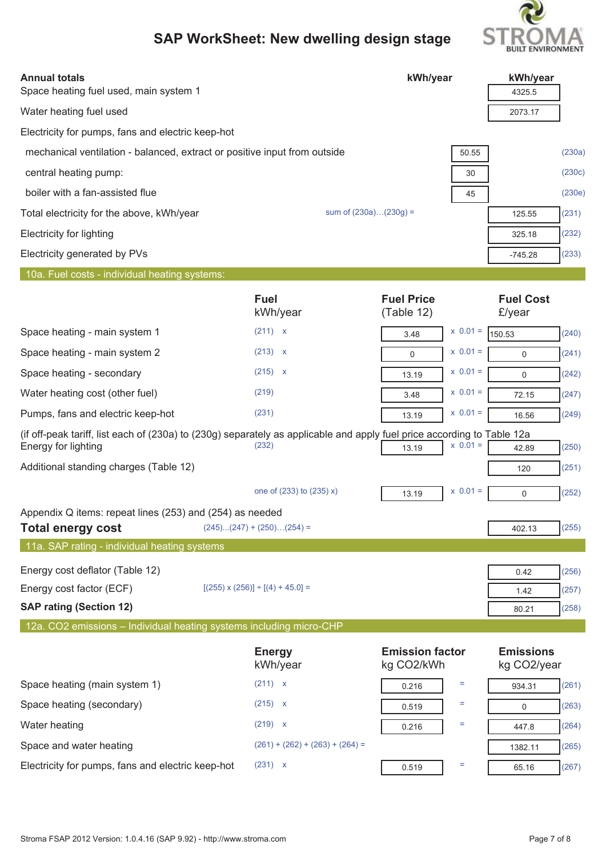

| <b>Annual totals</b>                                                                                                                           |                                            | kWh/year                             | kWh/year                             |
|------------------------------------------------------------------------------------------------------------------------------------------------|--------------------------------------------|--------------------------------------|--------------------------------------|
| Space heating fuel used, main system 1                                                                                                         |                                            |                                      | 4325.5                               |
| Water heating fuel used                                                                                                                        |                                            |                                      | 2073.17                              |
| Electricity for pumps, fans and electric keep-hot                                                                                              |                                            |                                      |                                      |
| mechanical ventilation - balanced, extract or positive input from outside                                                                      |                                            |                                      | (230a)<br>50.55                      |
| central heating pump:                                                                                                                          |                                            |                                      | (230c)<br>30                         |
| boiler with a fan-assisted flue                                                                                                                |                                            |                                      | (230e)<br>45                         |
| Total electricity for the above, kWh/year                                                                                                      |                                            | sum of $(230a)(230g) =$              | (231)<br>125.55                      |
| <b>Electricity for lighting</b>                                                                                                                |                                            |                                      | (232)<br>325.18                      |
| Electricity generated by PVs                                                                                                                   |                                            |                                      | (233)<br>$-745.28$                   |
| 10a. Fuel costs - individual heating systems:                                                                                                  |                                            |                                      |                                      |
|                                                                                                                                                | <b>Fuel</b><br>kWh/year                    | <b>Fuel Price</b><br>(Table 12)      | <b>Fuel Cost</b><br>£/year           |
| Space heating - main system 1                                                                                                                  | (211) x                                    | 3.48                                 | $x 0.01 =$<br>(240)<br>150.53        |
| Space heating - main system 2                                                                                                                  | (213) x                                    | $\mathbf 0$                          | $x 0.01 =$<br>(241)<br>$\mathbf 0$   |
| Space heating - secondary                                                                                                                      | $(215)$ x                                  | 13.19                                | $x 0.01 =$<br>(242)<br>0             |
| Water heating cost (other fuel)                                                                                                                | (219)                                      | 3.48                                 | $x 0.01 =$<br>(247)<br>72.15         |
| Pumps, fans and electric keep-hot                                                                                                              | (231)                                      | 13.19                                | $x 0.01 =$<br>(249)<br>16.56         |
| (if off-peak tariff, list each of (230a) to (230g) separately as applicable and apply fuel price according to Table 12a<br>Energy for lighting | (232)                                      | 13.19                                | $x 0.01 =$<br>(250)<br>42.89         |
| Additional standing charges (Table 12)                                                                                                         |                                            |                                      | (251)<br>120                         |
|                                                                                                                                                | one of (233) to (235) x)                   | 13.19                                | $x \ 0.01 =$<br>(252)<br>$\mathbf 0$ |
| Appendix Q items: repeat lines (253) and (254) as needed<br><b>Total energy cost</b>                                                           | $(245)(247) + (250)(254) =$                |                                      | (255)<br>402.13                      |
| 11a. SAP rating - individual heating systems                                                                                                   |                                            |                                      |                                      |
| Energy cost deflator (Table 12)                                                                                                                |                                            |                                      | (256)<br>0.42                        |
| Energy cost factor (ECF)                                                                                                                       | $[(255) \times (256)] \div [(4) + 45.0] =$ |                                      | (257)<br>1.42                        |
| <b>SAP rating (Section 12)</b>                                                                                                                 |                                            |                                      | (258)<br>80.21                       |
| 12a. CO2 emissions - Individual heating systems including micro-CHP                                                                            |                                            |                                      |                                      |
|                                                                                                                                                | <b>Energy</b><br>kWh/year                  | <b>Emission factor</b><br>kg CO2/kWh | <b>Emissions</b><br>kg CO2/year      |
| Space heating (main system 1)                                                                                                                  | (211) x                                    | Ξ<br>0.216                           | (261)<br>934.31                      |
| Space heating (secondary)                                                                                                                      | $(215)$ x                                  | Ξ<br>0.519                           | (263)<br>0                           |
| Water heating                                                                                                                                  | (219) x                                    | Ξ<br>0.216                           | (264)<br>447.8                       |
| Space and water heating                                                                                                                        | $(261) + (262) + (263) + (264) =$          |                                      | (265)<br>1382.11                     |
| Electricity for pumps, fans and electric keep-hot                                                                                              | (231) x                                    | Ξ<br>0.519                           | (267)<br>65.16                       |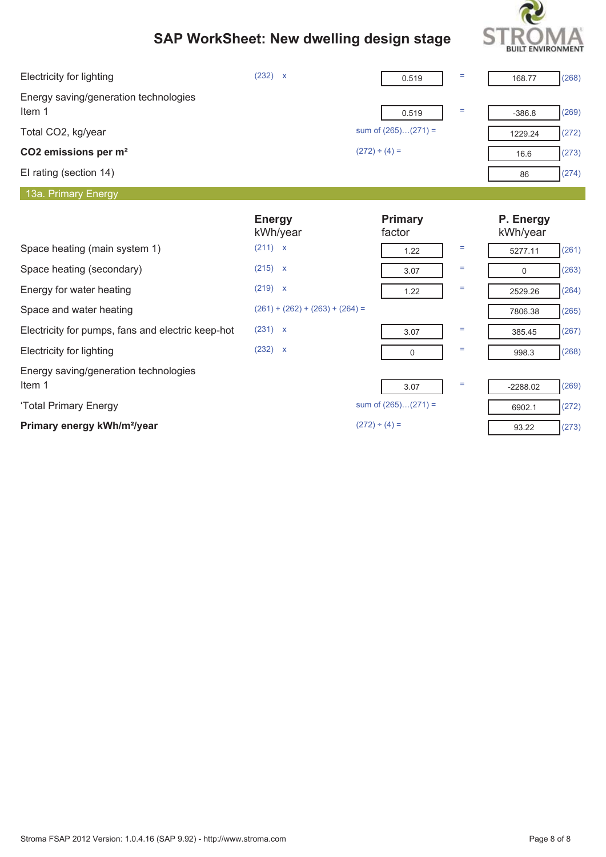

| <b>Electricity for lighting</b>                   | (232) x                           | 0.519                 | $\equiv$ | 168.77                | (268) |
|---------------------------------------------------|-----------------------------------|-----------------------|----------|-----------------------|-------|
| Energy saving/generation technologies<br>Item 1   |                                   | 0.519                 | $\equiv$ | $-386.8$              | (269) |
| Total CO2, kg/year                                |                                   | sum of $(265)(271) =$ |          | 1229.24               | (272) |
| CO2 emissions per m <sup>2</sup>                  |                                   | $(272) \div (4) =$    |          | 16.6                  | (273) |
| El rating (section 14)                            |                                   |                       |          | 86                    | (274) |
| 13a. Primary Energy                               |                                   |                       |          |                       |       |
|                                                   | <b>Energy</b><br>kWh/year         | Primary<br>factor     |          | P. Energy<br>kWh/year |       |
| Space heating (main system 1)                     | (211) x                           | 1.22                  | Ξ        | 5277.11               | (261) |
| Space heating (secondary)                         | $(215)$ x                         | 3.07                  | $\equiv$ | $\mathbf 0$           | (263) |
| Energy for water heating                          | (219) x                           | 1.22                  | $\equiv$ | 2529.26               | (264) |
| Space and water heating                           | $(261) + (262) + (263) + (264) =$ |                       |          | 7806.38               | (265) |
| Electricity for pumps, fans and electric keep-hot | (231) x                           | 3.07                  | Ξ        | 385.45                | (267) |
| <b>Electricity for lighting</b>                   | (232) x                           | $\mathbf 0$           | $\equiv$ | 998.3                 | (268) |
| Energy saving/generation technologies<br>Item 1   |                                   | 3.07                  | Ξ        | $-2288.02$            | (269) |
| 'Total Primary Energy                             |                                   | sum of $(265)(271) =$ |          | 6902.1                | (272) |
| Primary energy kWh/m <sup>2</sup> /year           |                                   | $(272) \div (4) =$    |          | 93.22                 | (273) |